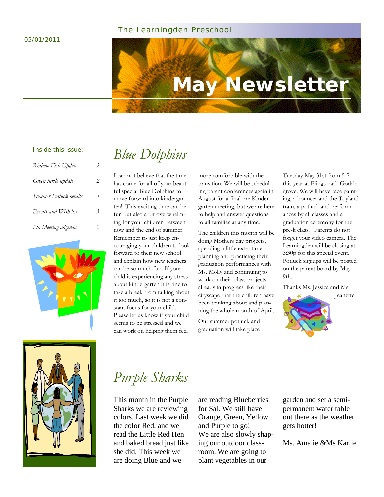#### 05/01/2011

#### The Learningden Preschool

# **May Newsletter**

#### Inside this issue:

| Rinbow Fish Update     | 2                       |
|------------------------|-------------------------|
| Green turtle update    | 2                       |
| Summer Potluck details | $\overline{\mathbf{3}}$ |
| Events and Wish list   | $\overline{\mathbf{3}}$ |
| Pta Meeting adgenda    |                         |



### *Blue Dolphins*

I can not believe that the time has come for all of your beautiful special Blue Dolphins to move forward into kindergarten!! This exciting time can be fun but also a bit overwhelming for your children between now and the end of summer. Remember to just keep encouraging your children to look forward to their new school and explain how new teachers can be so much fun. If your child is experiencing any stress about kindergarten it is fine to take a break from talking about it too much, so it is not a constant focus for your child. Please let us know if your child seems to be stressed and we can work on helping them feel

more comfortable with the transition. We will be scheduling parent conferences again in August for a final pre Kindergarten meeting, but we are here to help and answer questions to all families at any time.

The children this month will be doing Mothers day projects, spending a little extra time planning and practicing their graduation performances with Ms. Molly and continuing to work on their class projects already in progress like their cityscape that the children have been thinking about and planning the whole month of April.

Our summer potluck and graduation will take place

Tuesday May 31st from 5-7 this year at Elings park Godric grove. We will have face painting, a bouncer and the Toyland train, a potluck and performances by all classes and a graduation ceremony for the pre-k class. . Parents do not forget your video camera. The Learningden will be closing at 3:30p for this special event. Potluck signups will be posted on the parent board by May 9th.

Thanks Ms. Jessica and Ms





### *Purple Sharks*

This month in the Purple Sharks we are reviewing colors. Last week we did the color Red, and we read the Little Red Hen and baked bread just like she did. This week we are doing Blue and we

are reading Blueberries for Sal. We still have Orange, Green, Yellow and Purple to go! We are also slowly shaping our outdoor classroom. We are going to plant vegetables in our

garden and set a semipermanent water table out there as the weather gets hotter!

Ms. Amalie &Ms Karlie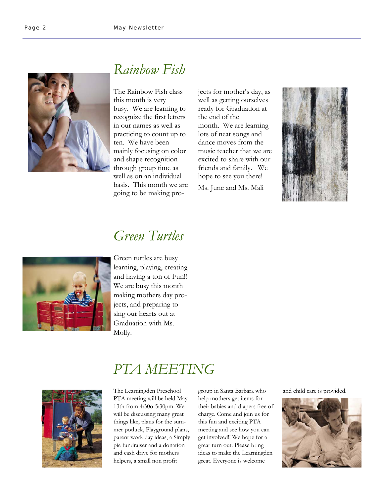

### *Rainbow Fish*

The Rainbow Fish class this month is very busy. We are learning to recognize the first letters in our names as well as practicing to count up to ten. We have been mainly focusing on color and shape recognition through group time as well as on an individual basis. This month we are going to be making projects for mother's day, as well as getting ourselves ready for Graduation at the end of the month. We are learning lots of neat songs and dance moves from the music teacher that we are excited to share with our friends and family. We hope to see you there!

Ms. June and Ms. Mali



#### *Green Turtles*



Green turtles are busy learning, playing, creating and having a ton of Fun!! We are busy this month making mothers day projects, and preparing to sing our hearts out at Graduation with Ms. Molly.



### *PTA MEETING*

The Learningden Preschool PTA meeting will be held May 13th from 4:30o-5:30pm. We will be discussing many great things like, plans for the summer potluck, Playground plans, parent work day ideas, a Simply pie fundraiser and a donation and cash drive for mothers helpers, a small non profit

group in Santa Barbara who help mothers get items for their babies and diapers free of charge. Come and join us for this fun and exciting PTA meeting and see how you can get involved!! We hope for a great turn out. Please bring ideas to make the Learningden great. Everyone is welcome

and child care is provided.